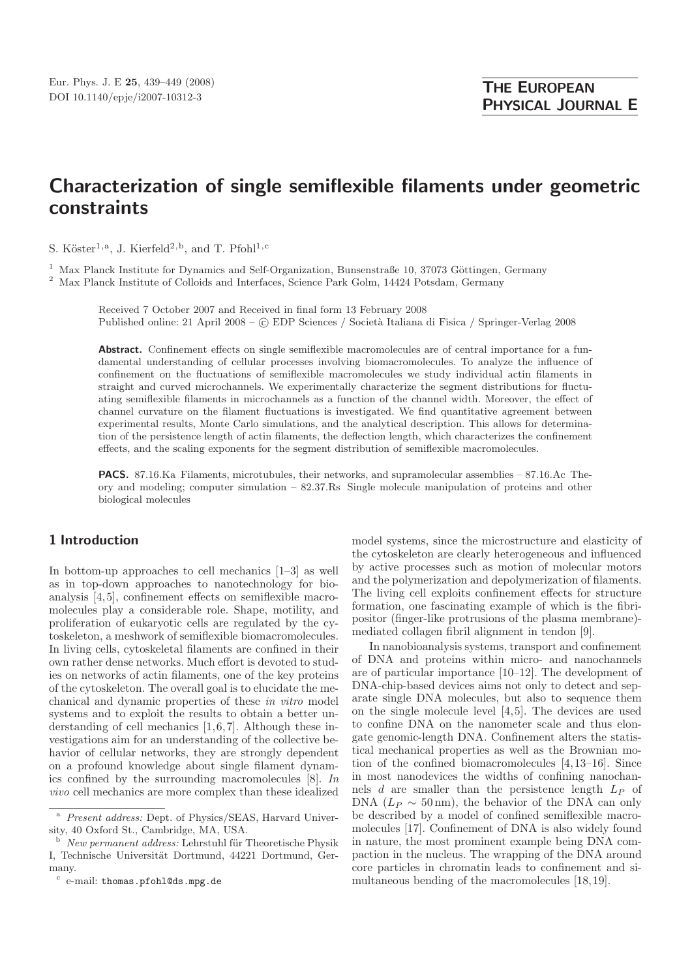# Characterization of single semiflexible filaments under geometric constraints

S. Köster<sup>1,a</sup>, J. Kierfeld<sup>2,b</sup>, and T. Pfohl<sup>1,c</sup>

 $1$  Max Planck Institute for Dynamics and Self-Organization, Bunsenstraße 10, 37073 Göttingen, Germany <sup>2</sup> Max Planck Institute of Colloids and Interfaces, Science Park Golm, 14424 Potsdam, Germany

Received 7 October 2007 and Received in final form 13 February 2008 Published online: 21 April 2008 – © EDP Sciences / Società Italiana di Fisica / Springer-Verlag 2008

Abstract. Confinement effects on single semiflexible macromolecules are of central importance for a fundamental understanding of cellular processes involving biomacromolecules. To analyze the influence of confinement on the fluctuations of semiflexible macromolecules we study individual actin filaments in straight and curved microchannels. We experimentally characterize the segment distributions for fluctuating semiflexible filaments in microchannels as a function of the channel width. Moreover, the effect of channel curvature on the filament fluctuations is investigated. We find quantitative agreement between experimental results, Monte Carlo simulations, and the analytical description. This allows for determination of the persistence length of actin filaments, the deflection length, which characterizes the confinement effects, and the scaling exponents for the segment distribution of semiflexible macromolecules.

PACS. 87.16.Ka Filaments, microtubules, their networks, and supramolecular assemblies – 87.16.Ac Theory and modeling; computer simulation – 82.37.Rs Single molecule manipulation of proteins and other biological molecules

# 1 Introduction

In bottom-up approaches to cell mechanics [1–3] as well as in top-down approaches to nanotechnology for bioanalysis [4,5], confinement effects on semiflexible macromolecules play a considerable role. Shape, motility, and proliferation of eukaryotic cells are regulated by the cytoskeleton, a meshwork of semiflexible biomacromolecules. In living cells, cytoskeletal filaments are confined in their own rather dense networks. Much effort is devoted to studies on networks of actin filaments, one of the key proteins of the cytoskeleton. The overall goal is to elucidate the mechanical and dynamic properties of these in vitro model systems and to exploit the results to obtain a better understanding of cell mechanics [1,6,7]. Although these investigations aim for an understanding of the collective behavior of cellular networks, they are strongly dependent on a profound knowledge about single filament dynamics confined by the surrounding macromolecules [8]. In vivo cell mechanics are more complex than these idealized

model systems, since the microstructure and elasticity of the cytoskeleton are clearly heterogeneous and influenced by active processes such as motion of molecular motors and the polymerization and depolymerization of filaments. The living cell exploits confinement effects for structure formation, one fascinating example of which is the fibripositor (finger-like protrusions of the plasma membrane) mediated collagen fibril alignment in tendon [9].

In nanobioanalysis systems, transport and confinement of DNA and proteins within micro- and nanochannels are of particular importance [10–12]. The development of DNA-chip-based devices aims not only to detect and separate single DNA molecules, but also to sequence them on the single molecule level [4,5]. The devices are used to confine DNA on the nanometer scale and thus elongate genomic-length DNA. Confinement alters the statistical mechanical properties as well as the Brownian motion of the confined biomacromolecules [4,13–16]. Since in most nanodevices the widths of confining nanochannels  $d$  are smaller than the persistence length  $L_P$  of DNA ( $L_P \sim 50 \text{ nm}$ ), the behavior of the DNA can only be described by a model of confined semiflexible macromolecules [17]. Confinement of DNA is also widely found in nature, the most prominent example being DNA compaction in the nucleus. The wrapping of the DNA around core particles in chromatin leads to confinement and simultaneous bending of the macromolecules [18,19].

<sup>&</sup>lt;sup>a</sup> Present address: Dept. of Physics/SEAS, Harvard University, 40 Oxford St., Cambridge, MA, USA.

New permanent address: Lehrstuhl für Theoretische Physik I, Technische Universität Dortmund, 44221 Dortmund, Germany.

c<br>
e-mail: thomas.pfohl@ds.mpg.de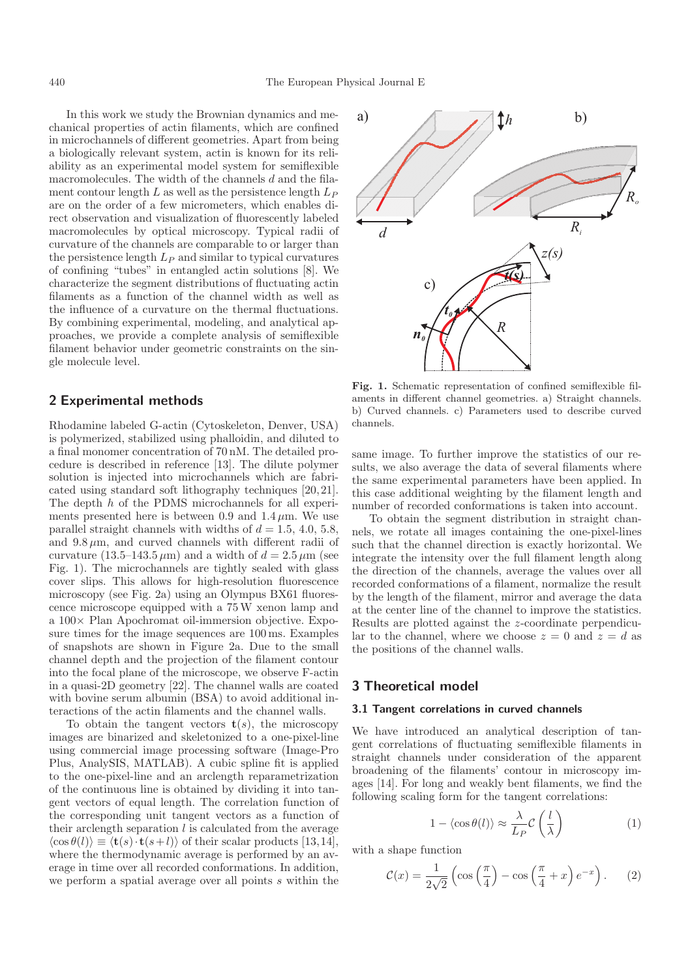In this work we study the Brownian dynamics and mechanical properties of actin filaments, which are confined in microchannels of different geometries. Apart from being a biologically relevant system, actin is known for its reliability as an experimental model system for semiflexible macromolecules. The width of the channels d and the filament contour length  $L$  as well as the persistence length  $L_P$ are on the order of a few micrometers, which enables direct observation and visualization of fluorescently labeled macromolecules by optical microscopy. Typical radii of curvature of the channels are comparable to or larger than the persistence length  $L_P$  and similar to typical curvatures of confining "tubes" in entangled actin solutions [8]. We characterize the segment distributions of fluctuating actin filaments as a function of the channel width as well as the influence of a curvature on the thermal fluctuations. By combining experimental, modeling, and analytical approaches, we provide a complete analysis of semiflexible filament behavior under geometric constraints on the single molecule level.

# 2 Experimental methods

Rhodamine labeled G-actin (Cytoskeleton, Denver, USA) is polymerized, stabilized using phalloidin, and diluted to a final monomer concentration of 70 nM. The detailed procedure is described in reference [13]. The dilute polymer solution is injected into microchannels which are fabricated using standard soft lithography techniques [20,21]. The depth h of the PDMS microchannels for all experiments presented here is between 0.9 and  $1.4 \mu$ m. We use parallel straight channels with widths of  $d = 1.5, 4.0, 5.8$ , and  $9.8 \mu m$ , and curved channels with different radii of curvature  $(13.5-143.5 \,\mu\text{m})$  and a width of  $d = 2.5 \,\mu\text{m}$  (see Fig. 1). The microchannels are tightly sealed with glass cover slips. This allows for high-resolution fluorescence microscopy (see Fig. 2a) using an Olympus BX61 fluorescence microscope equipped with a 75W xenon lamp and a 100× Plan Apochromat oil-immersion objective. Exposure times for the image sequences are 100 ms. Examples of snapshots are shown in Figure 2a. Due to the small channel depth and the projection of the filament contour into the focal plane of the microscope, we observe F-actin in a quasi-2D geometry [22]. The channel walls are coated with bovine serum albumin (BSA) to avoid additional interactions of the actin filaments and the channel walls.

To obtain the tangent vectors  $\mathbf{t}(s)$ , the microscopy images are binarized and skeletonized to a one-pixel-line using commercial image processing software (Image-Pro Plus, AnalySIS, MATLAB). A cubic spline fit is applied to the one-pixel-line and an arclength reparametrization of the continuous line is obtained by dividing it into tangent vectors of equal length. The correlation function of the corresponding unit tangent vectors as a function of their arclength separation  $l$  is calculated from the average  $\langle \cos \theta(l) \rangle \equiv \langle \mathbf{t}(s) \cdot \mathbf{t}(s+l) \rangle$  of their scalar products [13,14], where the thermodynamic average is performed by an average in time over all recorded conformations. In addition, we perform a spatial average over all points s within the



Fig. 1. Schematic representation of confined semiflexible filaments in different channel geometries. a) Straight channels. b) Curved channels. c) Parameters used to describe curved channels.

same image. To further improve the statistics of our results, we also average the data of several filaments where the same experimental parameters have been applied. In this case additional weighting by the filament length and number of recorded conformations is taken into account.

To obtain the segment distribution in straight channels, we rotate all images containing the one-pixel-lines such that the channel direction is exactly horizontal. We integrate the intensity over the full filament length along the direction of the channels, average the values over all recorded conformations of a filament, normalize the result by the length of the filament, mirror and average the data at the center line of the channel to improve the statistics. Results are plotted against the z-coordinate perpendicular to the channel, where we choose  $z = 0$  and  $z = d$  as the positions of the channel walls.

## 3 Theoretical model

#### 3.1 Tangent correlations in curved channels

We have introduced an analytical description of tangent correlations of fluctuating semiflexible filaments in straight channels under consideration of the apparent broadening of the filaments' contour in microscopy images [14]. For long and weakly bent filaments, we find the following scaling form for the tangent correlations:

$$
1 - \langle \cos \theta(l) \rangle \approx \frac{\lambda}{L_P} C \left( \frac{l}{\lambda} \right) \tag{1}
$$

with a shape function

$$
\mathcal{C}(x) = \frac{1}{2\sqrt{2}} \left( \cos\left(\frac{\pi}{4}\right) - \cos\left(\frac{\pi}{4} + x\right) e^{-x} \right). \tag{2}
$$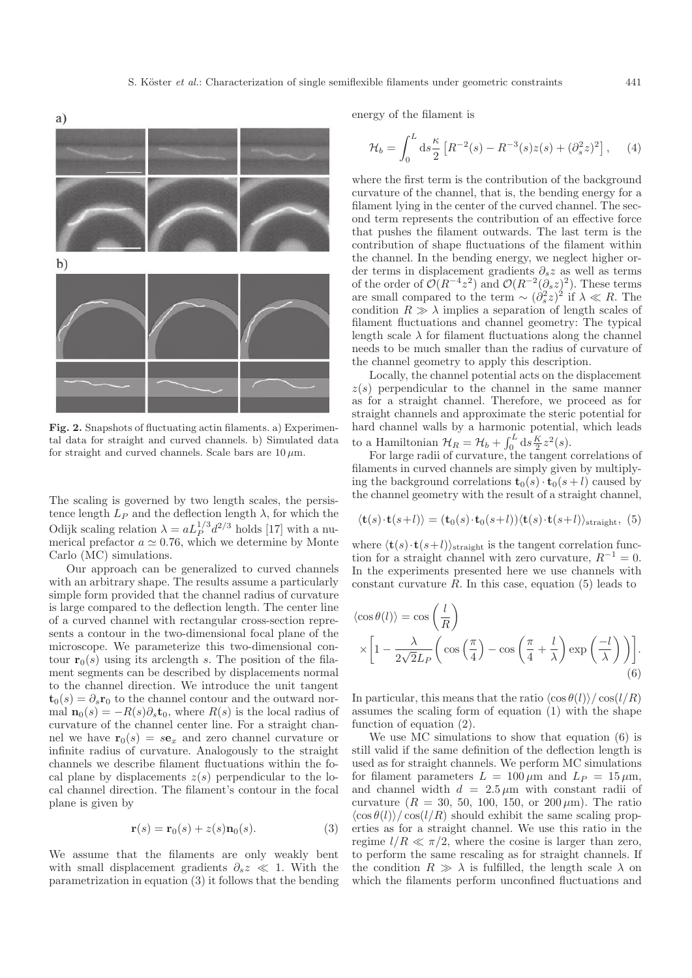$b)$ 

Fig. 2. Snapshots of fluctuating actin filaments. a) Experimental data for straight and curved channels. b) Simulated data for straight and curved channels. Scale bars are  $10 \mu m$ .

The scaling is governed by two length scales, the persistence length  $L_P$  and the deflection length  $\lambda$ , for which the Odijk scaling relation  $\lambda = aL_P^{1/3}d^{2/3}$  holds [17] with a numerical prefactor  $a \approx 0.76$ , which we determine by Monte Carlo (MC) simulations.

Our approach can be generalized to curved channels with an arbitrary shape. The results assume a particularly simple form provided that the channel radius of curvature is large compared to the deflection length. The center line of a curved channel with rectangular cross-section represents a contour in the two-dimensional focal plane of the microscope. We parameterize this two-dimensional contour  $r_0(s)$  using its arclength s. The position of the filament segments can be described by displacements normal to the channel direction. We introduce the unit tangent  $t_0(s) = \partial_s \mathbf{r}_0$  to the channel contour and the outward normal  $\mathbf{n}_0(s) = -R(s)\partial_s \mathbf{t}_0$ , where  $R(s)$  is the local radius of curvature of the channel center line. For a straight channel we have  $\mathbf{r}_0(s) = s\mathbf{e}_x$  and zero channel curvature or infinite radius of curvature. Analogously to the straight channels we describe filament fluctuations within the focal plane by displacements  $z(s)$  perpendicular to the local channel direction. The filament's contour in the focal plane is given by

$$
\mathbf{r}(s) = \mathbf{r}_0(s) + z(s)\mathbf{n}_0(s). \tag{3}
$$

We assume that the filaments are only weakly bent with small displacement gradients  $\partial_s z \ll 1$ . With the parametrization in equation (3) it follows that the bending energy of the filament is

$$
\mathcal{H}_b = \int_0^L ds \frac{\kappa}{2} \left[ R^{-2}(s) - R^{-3}(s)z(s) + (\partial_s^2 z)^2 \right], \quad (4)
$$

where the first term is the contribution of the background curvature of the channel, that is, the bending energy for a filament lying in the center of the curved channel. The second term represents the contribution of an effective force that pushes the filament outwards. The last term is the contribution of shape fluctuations of the filament within the channel. In the bending energy, we neglect higher order terms in displacement gradients  $\partial_s z$  as well as terms of the order of  $\mathcal{O}(R^{-4}z^2)$  and  $\mathcal{O}(R^{-2}(\partial_3 z)^2)$ . These terms are small compared to the term ~  $(\partial_s^2 z)^2$  if  $\lambda \ll R$ . The condition  $R \gg \lambda$  implies a separation of length scales of filament fluctuations and channel geometry: The typical length scale  $\lambda$  for filament fluctuations along the channel needs to be much smaller than the radius of curvature of the channel geometry to apply this description.

Locally, the channel potential acts on the displacement  $z(s)$  perpendicular to the channel in the same manner as for a straight channel. Therefore, we proceed as for straight channels and approximate the steric potential for hard channel walls by a harmonic potential, which leads to a Hamiltonian  $\mathcal{H}_R = \mathcal{H}_b + \int_0^L ds \frac{K}{2} z^2(s)$ .

For large radii of curvature, the tangent correlations of filaments in curved channels are simply given by multiplying the background correlations  $\mathbf{t}_0(s) \cdot \mathbf{t}_0(s + l)$  caused by the channel geometry with the result of a straight channel,

$$
\langle \mathbf{t}(s) \cdot \mathbf{t}(s+l) \rangle = (\mathbf{t}_0(s) \cdot \mathbf{t}_0(s+l)) \langle \mathbf{t}(s) \cdot \mathbf{t}(s+l) \rangle_{\text{straight}}, \tag{5}
$$

where  $\langle \mathbf{t}(s)\cdot \mathbf{t}(s+l)\rangle_{\text{straight}}$  is the tangent correlation function for a straight channel with zero curvature,  $R^{-1} = 0$ . In the experiments presented here we use channels with constant curvature  $R$ . In this case, equation (5) leads to

$$
\langle \cos \theta(l) \rangle = \cos \left(\frac{l}{R}\right)
$$

$$
\times \left[1 - \frac{\lambda}{2\sqrt{2}L_P} \left(\cos \left(\frac{\pi}{4}\right) - \cos \left(\frac{\pi}{4} + \frac{l}{\lambda}\right) \exp \left(\frac{-l}{\lambda}\right)\right)\right].
$$
  
(6)

In particular, this means that the ratio  $\langle \cos \theta(l) \rangle / \cos(l/R)$ assumes the scaling form of equation (1) with the shape function of equation (2).

We use MC simulations to show that equation (6) is still valid if the same definition of the deflection length is used as for straight channels. We perform MC simulations for filament parameters  $L = 100 \,\mu \text{m}$  and  $L_P = 15 \,\mu \text{m}$ , and channel width  $d = 2.5 \mu m$  with constant radii of curvature  $(R = 30, 50, 100, 150, \text{ or } 200 \,\mu\text{m})$ . The ratio  $\langle \cos \theta(l) \rangle / \cos(l/R)$  should exhibit the same scaling properties as for a straight channel. We use this ratio in the regime  $l/R \ll \pi/2$ , where the cosine is larger than zero, to perform the same rescaling as for straight channels. If the condition  $R \gg \lambda$  is fulfilled, the length scale  $\lambda$  on which the filaments perform unconfined fluctuations and

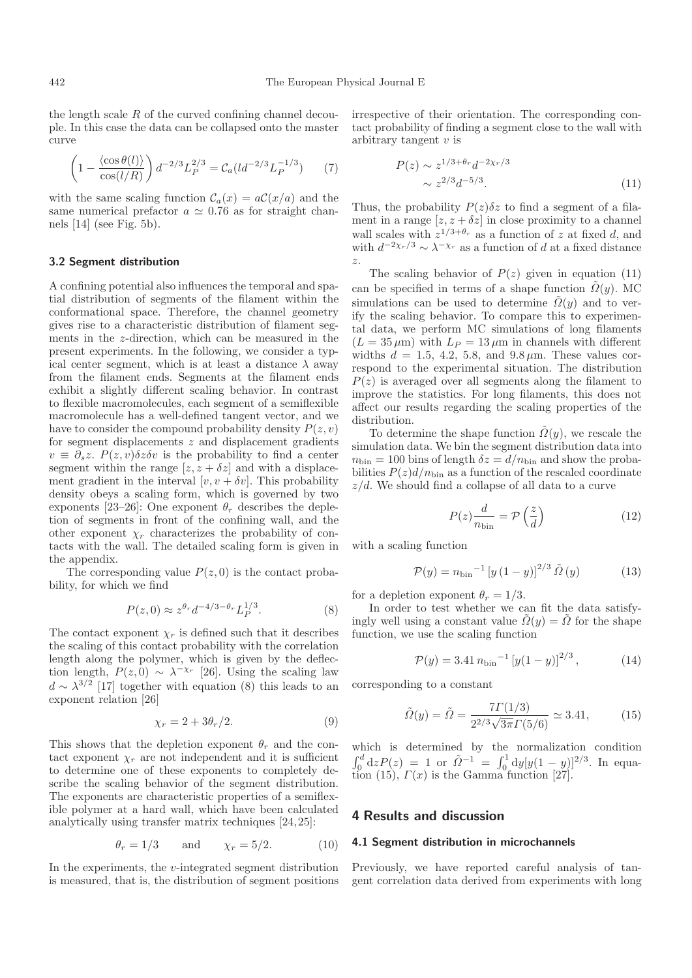the length scale R of the curved confining channel decouple. In this case the data can be collapsed onto the master curve

$$
\left(1 - \frac{\langle \cos \theta(l) \rangle}{\cos(l/R)}\right) d^{-2/3} L_P^{2/3} = C_a (ld^{-2/3} L_P^{-1/3}) \tag{7}
$$

with the same scaling function  $C_a(x) = aC(x/a)$  and the same numerical prefactor  $a \approx 0.76$  as for straight channels [14] (see Fig. 5b).

### 3.2 Segment distribution

A confining potential also influences the temporal and spatial distribution of segments of the filament within the conformational space. Therefore, the channel geometry gives rise to a characteristic distribution of filament segments in the z-direction, which can be measured in the present experiments. In the following, we consider a typical center segment, which is at least a distance  $\lambda$  away from the filament ends. Segments at the filament ends exhibit a slightly different scaling behavior. In contrast to flexible macromolecules, each segment of a semiflexible macromolecule has a well-defined tangent vector, and we have to consider the compound probability density  $P(z, v)$ for segment displacements z and displacement gradients  $v \equiv \partial_s z$ .  $P(z, v)\delta z \delta v$  is the probability to find a center segment within the range  $[z, z + \delta z]$  and with a displacement gradient in the interval  $[v, v + \delta v]$ . This probability density obeys a scaling form, which is governed by two exponents [23–26]: One exponent  $\theta_r$  describes the depletion of segments in front of the confining wall, and the other exponent  $\chi_r$  characterizes the probability of contacts with the wall. The detailed scaling form is given in the appendix.

The corresponding value  $P(z, 0)$  is the contact probability, for which we find

$$
P(z,0) \approx z^{\theta_r} d^{-4/3 - \theta_r} L_P^{1/3}.
$$
 (8)

The contact exponent  $\chi_r$  is defined such that it describes the scaling of this contact probability with the correlation length along the polymer, which is given by the deflection length,  $P(z, 0) \sim \lambda^{-\chi_r}$  [26]. Using the scaling law  $d \sim \lambda^{3/2}$  [17] together with equation (8) this leads to an exponent relation [26]

$$
\chi_r = 2 + 3\theta_r/2. \tag{9}
$$

This shows that the depletion exponent  $\theta_r$  and the contact exponent  $\chi_r$  are not independent and it is sufficient to determine one of these exponents to completely describe the scaling behavior of the segment distribution. The exponents are characteristic properties of a semiflexible polymer at a hard wall, which have been calculated analytically using transfer matrix techniques [24,25]:

$$
\theta_r = 1/3 \qquad \text{and} \qquad \chi_r = 5/2. \tag{10}
$$

In the experiments, the v-integrated segment distribution is measured, that is, the distribution of segment positions irrespective of their orientation. The corresponding contact probability of finding a segment close to the wall with arbitrary tangent  $v$  is

$$
P(z) \sim z^{1/3 + \theta_r} d^{-2\chi_r/3}
$$
  
 
$$
\sim z^{2/3} d^{-5/3}.
$$
 (11)

Thus, the probability  $P(z)\delta z$  to find a segment of a filament in a range  $[z, z + \delta z]$  in close proximity to a channel wall scales with  $z^{1/3+\theta_r}$  as a function of z at fixed d, and with  $d^{-2\chi_r/3} \sim \lambda^{-\chi_r}$  as a function of d at a fixed distance z.

The scaling behavior of  $P(z)$  given in equation (11) can be specified in terms of a shape function  $\Omega(y)$ . MC simulations can be used to determine  $\tilde{\Omega}(y)$  and to verify the scaling behavior. To compare this to experimental data, we perform MC simulations of long filaments  $(L = 35 \mu m)$  with  $L_P = 13 \mu m$  in channels with different widths  $d = 1.5, 4.2, 5.8, \text{ and } 9.8 \,\mu\text{m}$ . These values correspond to the experimental situation. The distribution  $P(z)$  is averaged over all segments along the filament to improve the statistics. For long filaments, this does not affect our results regarding the scaling properties of the distribution.

To determine the shape function  $\tilde{\Omega}(y)$ , we rescale the simulation data. We bin the segment distribution data into  $n_{\text{bin}} = 100$  bins of length  $\delta z = d/n_{\text{bin}}$  and show the probabilities  $P(z)d/n_{\text{bin}}$  as a function of the rescaled coordinate  $z/d$ . We should find a collapse of all data to a curve

$$
P(z)\frac{d}{n_{\text{bin}}} = \mathcal{P}\left(\frac{z}{d}\right) \tag{12}
$$

with a scaling function

$$
\mathcal{P}(y) = n_{\text{bin}}^{-1} \left[ y \left( 1 - y \right) \right]^{2/3} \tilde{\Omega}(y) \tag{13}
$$

for a depletion exponent  $\theta_r = 1/3$ .

In order to test whether we can fit the data satisfyingly well using a constant value  $\Omega(y) = \Omega$  for the shape function, we use the scaling function

$$
\mathcal{P}(y) = 3.41 n_{\text{bin}}^{-1} \left[ y(1-y) \right]^{2/3},\tag{14}
$$

corresponding to a constant

$$
\tilde{\Omega}(y) = \tilde{\Omega} = \frac{7\Gamma(1/3)}{2^{2/3}\sqrt{3\pi}\Gamma(5/6)} \simeq 3.41,\tag{15}
$$

which is determined by the normalization condition  $\int_0^d dz P(z) = 1$  or  $\tilde{Q}^{-1} = \int_0^1 dy [y(1-y)]^{2/3}$ . In equation (15),  $\Gamma(x)$  is the Gamma function [27].

#### 4 Results and discussion

#### 4.1 Segment distribution in microchannels

Previously, we have reported careful analysis of tangent correlation data derived from experiments with long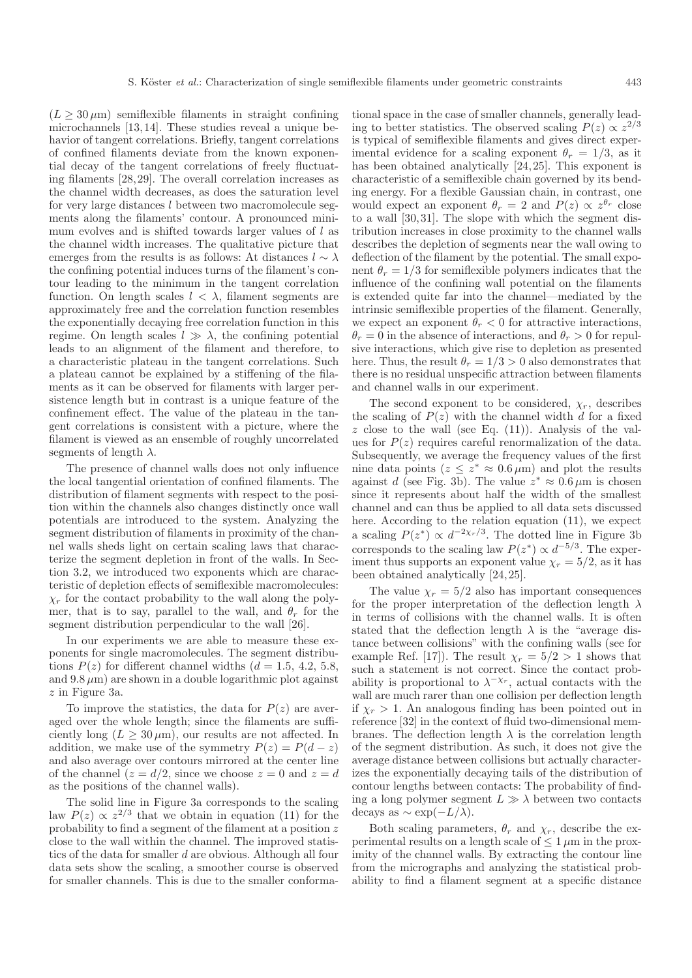$(L > 30 \,\mu\text{m})$  semiflexible filaments in straight confining microchannels [13,14]. These studies reveal a unique behavior of tangent correlations. Briefly, tangent correlations of confined filaments deviate from the known exponential decay of the tangent correlations of freely fluctuating filaments [28,29]. The overall correlation increases as the channel width decreases, as does the saturation level for very large distances l between two macromolecule segments along the filaments' contour. A pronounced minimum evolves and is shifted towards larger values of l as the channel width increases. The qualitative picture that emerges from the results is as follows: At distances  $l \sim \lambda$ the confining potential induces turns of the filament's contour leading to the minimum in the tangent correlation function. On length scales  $l < \lambda$ , filament segments are approximately free and the correlation function resembles the exponentially decaying free correlation function in this regime. On length scales  $l \gg \lambda$ , the confining potential leads to an alignment of the filament and therefore, to a characteristic plateau in the tangent correlations. Such a plateau cannot be explained by a stiffening of the filaments as it can be observed for filaments with larger persistence length but in contrast is a unique feature of the confinement effect. The value of the plateau in the tangent correlations is consistent with a picture, where the filament is viewed as an ensemble of roughly uncorrelated segments of length  $\lambda$ .

The presence of channel walls does not only influence the local tangential orientation of confined filaments. The distribution of filament segments with respect to the position within the channels also changes distinctly once wall potentials are introduced to the system. Analyzing the segment distribution of filaments in proximity of the channel walls sheds light on certain scaling laws that characterize the segment depletion in front of the walls. In Section 3.2, we introduced two exponents which are characteristic of depletion effects of semiflexible macromolecules:  $\chi_r$  for the contact probability to the wall along the polymer, that is to say, parallel to the wall, and  $\theta_r$  for the segment distribution perpendicular to the wall [26].

In our experiments we are able to measure these exponents for single macromolecules. The segment distributions  $P(z)$  for different channel widths  $(d = 1.5, 4.2, 5.8,$ and  $9.8 \mu m$ ) are shown in a double logarithmic plot against z in Figure 3a.

To improve the statistics, the data for  $P(z)$  are averaged over the whole length; since the filaments are sufficiently long  $(L \geq 30 \,\mu\text{m})$ , our results are not affected. In addition, we make use of the symmetry  $P(z) = P(d - z)$ and also average over contours mirrored at the center line of the channel  $(z = d/2$ , since we choose  $z = 0$  and  $z = d$ as the positions of the channel walls).

The solid line in Figure 3a corresponds to the scaling law  $P(z) \propto z^{2/3}$  that we obtain in equation (11) for the probability to find a segment of the filament at a position z close to the wall within the channel. The improved statistics of the data for smaller d are obvious. Although all four data sets show the scaling, a smoother course is observed for smaller channels. This is due to the smaller conformational space in the case of smaller channels, generally leading to better statistics. The observed scaling  $P(z) \propto z^{2/3}$ is typical of semiflexible filaments and gives direct experimental evidence for a scaling exponent  $\theta_r = 1/3$ , as it has been obtained analytically [24,25]. This exponent is characteristic of a semiflexible chain governed by its bending energy. For a flexible Gaussian chain, in contrast, one would expect an exponent  $\theta_r = 2$  and  $P(z) \propto z^{\theta_r}$  close to a wall [30,31]. The slope with which the segment distribution increases in close proximity to the channel walls describes the depletion of segments near the wall owing to deflection of the filament by the potential. The small exponent  $\theta_r = 1/3$  for semiflexible polymers indicates that the influence of the confining wall potential on the filaments is extended quite far into the channel—mediated by the intrinsic semiflexible properties of the filament. Generally, we expect an exponent  $\theta_r < 0$  for attractive interactions,  $\theta_r = 0$  in the absence of interactions, and  $\theta_r > 0$  for repulsive interactions, which give rise to depletion as presented here. Thus, the result  $\theta_r = 1/3 > 0$  also demonstrates that there is no residual unspecific attraction between filaments and channel walls in our experiment.

The second exponent to be considered,  $\chi_r$ , describes the scaling of  $P(z)$  with the channel width d for a fixed z close to the wall (see Eq.  $(11)$ ). Analysis of the values for  $P(z)$  requires careful renormalization of the data. Subsequently, we average the frequency values of the first nine data points  $(z \leq z^* \approx 0.6 \,\mu\text{m})$  and plot the results against d (see Fig. 3b). The value  $z^* \approx 0.6 \,\mu \text{m}$  is chosen since it represents about half the width of the smallest channel and can thus be applied to all data sets discussed here. According to the relation equation (11), we expect a scaling  $P(z^*) \propto d^{-2\chi_r/3}$ . The dotted line in Figure 3b corresponds to the scaling law  $P(z^*) \propto d^{-5/3}$ . The experiment thus supports an exponent value  $\chi_r = 5/2$ , as it has been obtained analytically [24,25].

The value  $\chi_r = 5/2$  also has important consequences for the proper interpretation of the deflection length  $\lambda$ in terms of collisions with the channel walls. It is often stated that the deflection length  $\lambda$  is the "average distance between collisions" with the confining walls (see for example Ref. [17]). The result  $\chi_r = 5/2 > 1$  shows that such a statement is not correct. Since the contact probability is proportional to  $\lambda^{-\chi_r}$ , actual contacts with the wall are much rarer than one collision per deflection length if  $\chi_r > 1$ . An analogous finding has been pointed out in reference [32] in the context of fluid two-dimensional membranes. The deflection length  $\lambda$  is the correlation length of the segment distribution. As such, it does not give the average distance between collisions but actually characterizes the exponentially decaying tails of the distribution of contour lengths between contacts: The probability of finding a long polymer segment  $L \gg \lambda$  between two contacts decays as  $\sim \exp(-L/\lambda)$ .

Both scaling parameters,  $\theta_r$  and  $\chi_r$ , describe the experimental results on a length scale of  $\leq 1 \,\mu m$  in the proximity of the channel walls. By extracting the contour line from the micrographs and analyzing the statistical probability to find a filament segment at a specific distance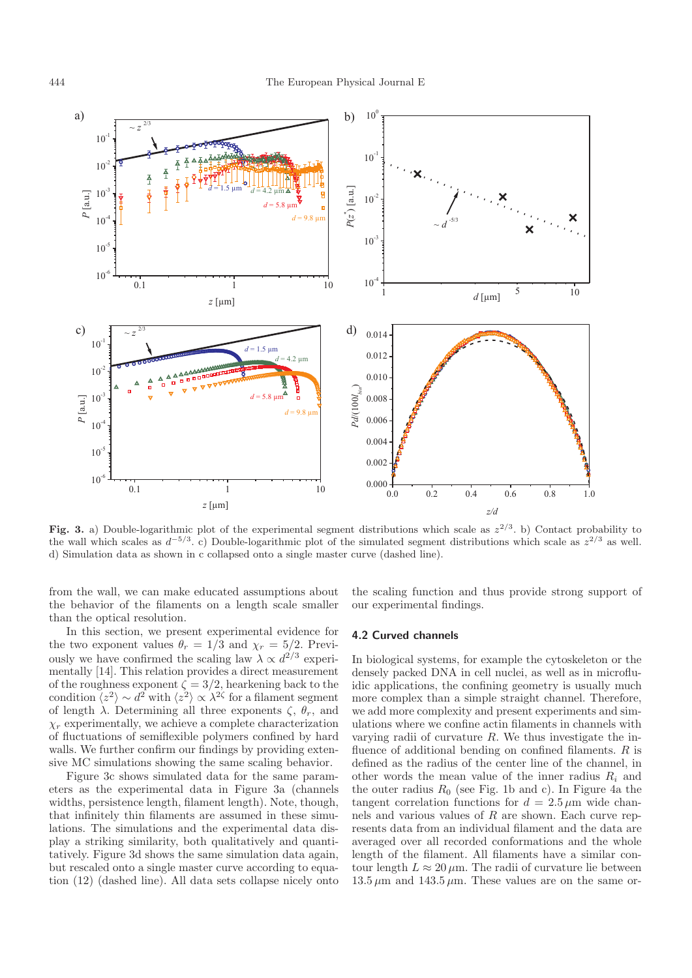

Fig. 3. a) Double-logarithmic plot of the experimental segment distributions which scale as  $z^{2/3}$ . b) Contact probability to the wall which scales as  $d^{-5/3}$ . c) Double-logarithmic plot of the simulated segment distributions which scale as  $z^{2/3}$  as well. d) Simulation data as shown in c collapsed onto a single master curve (dashed line).

from the wall, we can make educated assumptions about the behavior of the filaments on a length scale smaller than the optical resolution.

the scaling function and thus provide strong support of our experimental findings.

In this section, we present experimental evidence for the two exponent values  $\theta_r = 1/3$  and  $\chi_r = 5/2$ . Previously we have confirmed the scaling law  $\lambda \propto d^{2/3}$  experimentally [14]. This relation provides a direct measurement of the roughness exponent  $\zeta = 3/2$ , hearkening back to the condition  $\langle z^2 \rangle \sim d^2$  with  $\langle z^2 \rangle \propto \lambda^{2\zeta}$  for a filament segment of length  $\lambda$ . Determining all three exponents  $\zeta$ ,  $\theta_r$ , and  $\chi_r$  experimentally, we achieve a complete characterization of fluctuations of semiflexible polymers confined by hard walls. We further confirm our findings by providing extensive MC simulations showing the same scaling behavior.

Figure 3c shows simulated data for the same parameters as the experimental data in Figure 3a (channels widths, persistence length, filament length). Note, though, that infinitely thin filaments are assumed in these simulations. The simulations and the experimental data display a striking similarity, both qualitatively and quantitatively. Figure 3d shows the same simulation data again, but rescaled onto a single master curve according to equation (12) (dashed line). All data sets collapse nicely onto

### 4.2 Curved channels

In biological systems, for example the cytoskeleton or the densely packed DNA in cell nuclei, as well as in microfluidic applications, the confining geometry is usually much more complex than a simple straight channel. Therefore, we add more complexity and present experiments and simulations where we confine actin filaments in channels with varying radii of curvature  $R$ . We thus investigate the influence of additional bending on confined filaments.  $R$  is defined as the radius of the center line of the channel, in other words the mean value of the inner radius  $R_i$  and the outer radius  $R_0$  (see Fig. 1b and c). In Figure 4a the tangent correlation functions for  $d = 2.5 \,\mu\text{m}$  wide channels and various values of  $R$  are shown. Each curve represents data from an individual filament and the data are averaged over all recorded conformations and the whole length of the filament. All filaments have a similar contour length  $L \approx 20 \,\mu$ m. The radii of curvature lie between  $13.5 \,\mu \text{m}$  and  $143.5 \,\mu \text{m}$ . These values are on the same or-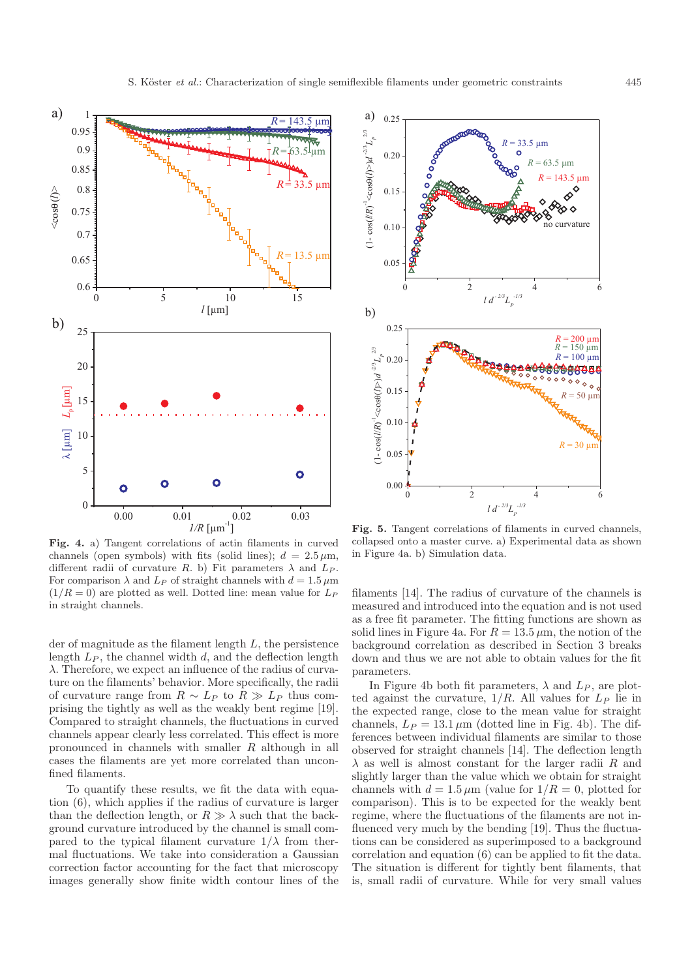

Fig. 4. a) Tangent correlations of actin filaments in curved channels (open symbols) with fits (solid lines);  $d = 2.5 \,\mu\text{m}$ , different radii of curvature R. b) Fit parameters  $\lambda$  and  $L_P$ . For comparison  $\lambda$  and  $L_P$  of straight channels with  $d = 1.5 \,\mu\text{m}$  $(1/R = 0)$  are plotted as well. Dotted line: mean value for  $L_P$ in straight channels.

der of magnitude as the filament length  $L$ , the persistence length  $L_P$ , the channel width d, and the deflection length λ. Therefore, we expect an influence of the radius of curvature on the filaments' behavior. More specifically, the radii of curvature range from  $R \sim L_P$  to  $R \gg L_P$  thus comprising the tightly as well as the weakly bent regime [19]. Compared to straight channels, the fluctuations in curved channels appear clearly less correlated. This effect is more pronounced in channels with smaller R although in all cases the filaments are yet more correlated than unconfined filaments.

To quantify these results, we fit the data with equation (6), which applies if the radius of curvature is larger than the deflection length, or  $R \gg \lambda$  such that the background curvature introduced by the channel is small compared to the typical filament curvature  $1/\lambda$  from thermal fluctuations. We take into consideration a Gaussian correction factor accounting for the fact that microscopy images generally show finite width contour lines of the



Fig. 5. Tangent correlations of filaments in curved channels, collapsed onto a master curve. a) Experimental data as shown in Figure 4a. b) Simulation data.

filaments [14]. The radius of curvature of the channels is measured and introduced into the equation and is not used as a free fit parameter. The fitting functions are shown as solid lines in Figure 4a. For  $R = 13.5 \mu$ m, the notion of the background correlation as described in Section 3 breaks down and thus we are not able to obtain values for the fit parameters.

In Figure 4b both fit parameters,  $\lambda$  and  $L_P$ , are plotted against the curvature,  $1/R$ . All values for  $L_P$  lie in the expected range, close to the mean value for straight channels,  $L_P = 13.1 \,\mu\text{m}$  (dotted line in Fig. 4b). The differences between individual filaments are similar to those observed for straight channels [14]. The deflection length  $\lambda$  as well is almost constant for the larger radii R and slightly larger than the value which we obtain for straight channels with  $d = 1.5 \mu m$  (value for  $1/R = 0$ , plotted for comparison). This is to be expected for the weakly bent regime, where the fluctuations of the filaments are not influenced very much by the bending [19]. Thus the fluctuations can be considered as superimposed to a background correlation and equation (6) can be applied to fit the data. The situation is different for tightly bent filaments, that is, small radii of curvature. While for very small values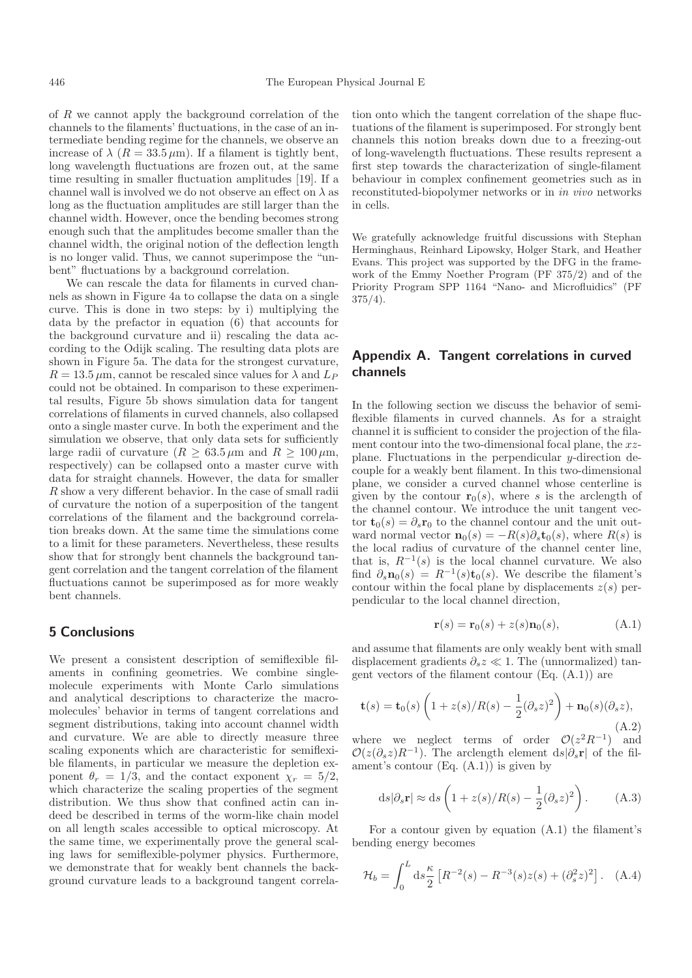of R we cannot apply the background correlation of the channels to the filaments' fluctuations, in the case of an intermediate bending regime for the channels, we observe an increase of  $\lambda$  ( $R = 33.5 \,\mu \text{m}$ ). If a filament is tightly bent, long wavelength fluctuations are frozen out, at the same time resulting in smaller fluctuation amplitudes [19]. If a channel wall is involved we do not observe an effect on  $\lambda$  as long as the fluctuation amplitudes are still larger than the channel width. However, once the bending becomes strong enough such that the amplitudes become smaller than the channel width, the original notion of the deflection length is no longer valid. Thus, we cannot superimpose the "unbent" fluctuations by a background correlation.

We can rescale the data for filaments in curved channels as shown in Figure 4a to collapse the data on a single curve. This is done in two steps: by i) multiplying the data by the prefactor in equation (6) that accounts for the background curvature and ii) rescaling the data according to the Odijk scaling. The resulting data plots are shown in Figure 5a. The data for the strongest curvature,  $R = 13.5 \,\mu\text{m}$ , cannot be rescaled since values for  $\lambda$  and  $L_P$ could not be obtained. In comparison to these experimental results, Figure 5b shows simulation data for tangent correlations of filaments in curved channels, also collapsed onto a single master curve. In both the experiment and the simulation we observe, that only data sets for sufficiently large radii of curvature  $(R > 63.5 \,\mu \text{m}$  and  $R > 100 \,\mu \text{m}$ , respectively) can be collapsed onto a master curve with data for straight channels. However, the data for smaller R show a very different behavior. In the case of small radii of curvature the notion of a superposition of the tangent correlations of the filament and the background correlation breaks down. At the same time the simulations come to a limit for these parameters. Nevertheless, these results show that for strongly bent channels the background tangent correlation and the tangent correlation of the filament fluctuations cannot be superimposed as for more weakly bent channels.

# 5 Conclusions

We present a consistent description of semiflexible filaments in confining geometries. We combine singlemolecule experiments with Monte Carlo simulations and analytical descriptions to characterize the macromolecules' behavior in terms of tangent correlations and segment distributions, taking into account channel width and curvature. We are able to directly measure three scaling exponents which are characteristic for semiflexible filaments, in particular we measure the depletion exponent  $\theta_r = 1/3$ , and the contact exponent  $\chi_r = 5/2$ , which characterize the scaling properties of the segment distribution. We thus show that confined actin can indeed be described in terms of the worm-like chain model on all length scales accessible to optical microscopy. At the same time, we experimentally prove the general scaling laws for semiflexible-polymer physics. Furthermore, we demonstrate that for weakly bent channels the background curvature leads to a background tangent correlation onto which the tangent correlation of the shape fluctuations of the filament is superimposed. For strongly bent channels this notion breaks down due to a freezing-out of long-wavelength fluctuations. These results represent a first step towards the characterization of single-filament behaviour in complex confinement geometries such as in reconstituted-biopolymer networks or in in vivo networks in cells.

We gratefully acknowledge fruitful discussions with Stephan Herminghaus, Reinhard Lipowsky, Holger Stark, and Heather Evans. This project was supported by the DFG in the framework of the Emmy Noether Program (PF 375/2) and of the Priority Program SPP 1164 "Nano- and Microfluidics" (PF  $375/4$ ).

# Appendix A. Tangent correlations in curved channels

In the following section we discuss the behavior of semiflexible filaments in curved channels. As for a straight channel it is sufficient to consider the projection of the filament contour into the two-dimensional focal plane, the  $xz$ plane. Fluctuations in the perpendicular y-direction decouple for a weakly bent filament. In this two-dimensional plane, we consider a curved channel whose centerline is given by the contour  $r_0(s)$ , where s is the arclength of the channel contour. We introduce the unit tangent vector  $\mathbf{t}_0(s) = \partial_s \mathbf{r}_0$  to the channel contour and the unit outward normal vector  $\mathbf{n}_0(s) = -R(s)\partial_s \mathbf{t}_0(s)$ , where  $R(s)$  is the local radius of curvature of the channel center line, that is,  $R^{-1}(s)$  is the local channel curvature. We also find  $\partial_s \mathbf{n}_0(s) = R^{-1}(s)\mathbf{t}_0(s)$ . We describe the filament's contour within the focal plane by displacements  $z(s)$  perpendicular to the local channel direction,

$$
\mathbf{r}(s) = \mathbf{r}_0(s) + z(s)\mathbf{n}_0(s), \tag{A.1}
$$

and assume that filaments are only weakly bent with small displacement gradients  $\partial_s z \ll 1$ . The (unnormalized) tangent vectors of the filament contour  $(Eq. (A.1))$  are

$$
\mathbf{t}(s) = \mathbf{t}_0(s) \left( 1 + z(s) / R(s) - \frac{1}{2} (\partial_s z)^2 \right) + \mathbf{n}_0(s) (\partial_s z),
$$
\n(A.2)

where we neglect terms of order  $\mathcal{O}(z^2R^{-1})$  and  $\mathcal{O}(z(\partial_s z)R^{-1})$ . The arclength element ds| $\partial_s \mathbf{r}$ | of the filament's contour  $(Eq. (A.1))$  is given by

$$
ds|\partial_s \mathbf{r}| \approx ds \left(1 + z(s)/R(s) - \frac{1}{2}(\partial_s z)^2\right). \tag{A.3}
$$

For a contour given by equation (A.1) the filament's bending energy becomes

$$
\mathcal{H}_b = \int_0^L \mathrm{d}s \frac{\kappa}{2} \left[ R^{-2}(s) - R^{-3}(s)z(s) + (\partial_s^2 z)^2 \right]. \quad \text{(A.4)}
$$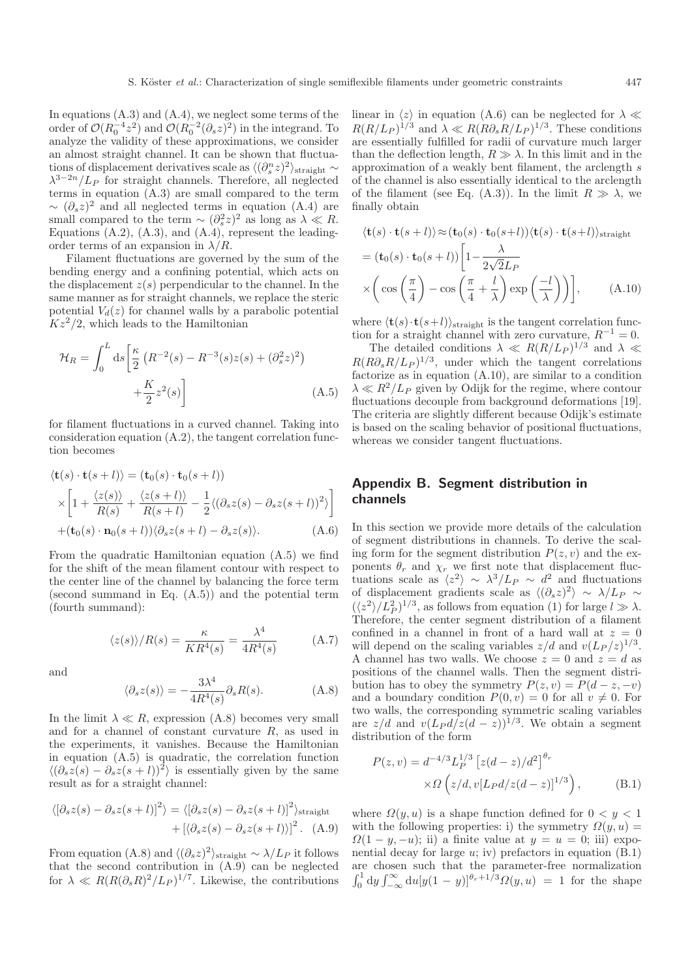In equations  $(A.3)$  and  $(A.4)$ , we neglect some terms of the order of  $\mathcal{O}(R_0^{-4}z^2)$  and  $\mathcal{O}(R_0^{-2}(\partial_s z)^2)$  in the integrand. To analyze the validity of these approximations, we consider an almost straight channel. It can be shown that fluctuations of displacement derivatives scale as  $\langle (\partial_s^2 z)^2 \rangle$ <sub>straight</sub> ∼  $\lambda^{3-2n}/L_P$  for straight channels. Therefore, all neglected terms in equation (A.3) are small compared to the term  $\sim (\partial_s z)^2$  and all neglected terms in equation (A.4) are small compared to the term  $\sim (\partial_s^2 z)^2$  as long as  $\lambda \ll R$ . Equations  $(A.2)$ ,  $(A.3)$ , and  $(A.4)$ , represent the leadingorder terms of an expansion in  $\lambda/R$ .

Filament fluctuations are governed by the sum of the bending energy and a confining potential, which acts on the displacement  $z(s)$  perpendicular to the channel. In the same manner as for straight channels, we replace the steric potential  $V_d(z)$  for channel walls by a parabolic potential  $Kz^2/2$ , which leads to the Hamiltonian

$$
\mathcal{H}_R = \int_0^L \mathrm{d}s \left[ \frac{\kappa}{2} \left( R^{-2}(s) - R^{-3}(s) z(s) + (\partial_s^2 z)^2 \right) + \frac{K}{2} z^2(s) \right] \tag{A.5}
$$

for filament fluctuations in a curved channel. Taking into consideration equation (A.2), the tangent correlation function becomes

$$
\langle \mathbf{t}(s) \cdot \mathbf{t}(s+l) \rangle = (\mathbf{t}_0(s) \cdot \mathbf{t}_0(s+l))
$$
  
 
$$
\times \left[ 1 + \frac{\langle z(s) \rangle}{R(s)} + \frac{\langle z(s+l) \rangle}{R(s+l)} - \frac{1}{2} \langle (\partial_s z(s) - \partial_s z(s+l))^2 \rangle \right]
$$
  
+ 
$$
(\mathbf{t}_0(s) \cdot \mathbf{n}_0(s+l)) \langle \partial_s z(s+l) - \partial_s z(s) \rangle.
$$
 (A.6)

From the quadratic Hamiltonian equation (A.5) we find for the shift of the mean filament contour with respect to the center line of the channel by balancing the force term (second summand in Eq. (A.5)) and the potential term (fourth summand):

$$
\langle z(s) \rangle / R(s) = \frac{\kappa}{KR^4(s)} = \frac{\lambda^4}{4R^4(s)} \tag{A.7}
$$

and

$$
\langle \partial_s z(s) \rangle = -\frac{3\lambda^4}{4R^4(s)} \partial_s R(s). \tag{A.8}
$$

In the limit  $\lambda \ll R$ , expression (A.8) becomes very small and for a channel of constant curvature  $R$ , as used in the experiments, it vanishes. Because the Hamiltonian in equation (A.5) is quadratic, the correlation function  $\langle (\partial_s z(s) - \partial_s z(s+l))^2 \rangle$  is essentially given by the same result as for a straight channel:

$$
\langle [\partial_s z(s) - \partial_s z(s+l)]^2 \rangle = \langle [\partial_s z(s) - \partial_s z(s+l)]^2 \rangle_{\text{straight}}
$$

$$
+ [\langle \partial_s z(s) - \partial_s z(s+l) \rangle]^2. \quad (A.9)
$$

From equation (A.8) and  $\langle (\partial_s z)^2 \rangle_{\text{straight}} \sim \lambda / L_P$  it follows that the second contribution in  $(A.\overline{9})$  can be neglected for  $\lambda \ll R(R(\partial_s R)^2/L_P)^{1/7}$ . Likewise, the contributions linear in  $\langle z \rangle$  in equation (A.6) can be neglected for  $\lambda$   $\ll$  $R(R/L_P)^{1/3}$  and  $\lambda \ll R(R\partial_s R/L_P)^{1/3}$ . These conditions are essentially fulfilled for radii of curvature much larger than the deflection length,  $R \gg \lambda$ . In this limit and in the approximation of a weakly bent filament, the arclength s of the channel is also essentially identical to the arclength of the filament (see Eq. (A.3)). In the limit  $R \gg \lambda$ , we finally obtain

$$
\langle \mathbf{t}(s) \cdot \mathbf{t}(s+l) \rangle \approx (\mathbf{t}_0(s) \cdot \mathbf{t}_0(s+l)) \langle \mathbf{t}(s) \cdot \mathbf{t}(s+l) \rangle_{\text{straight}}
$$

$$
= (\mathbf{t}_0(s) \cdot \mathbf{t}_0(s+l)) \left[ 1 - \frac{\lambda}{2\sqrt{2}L_P} \right]
$$

$$
\times \left( \cos\left(\frac{\pi}{4}\right) - \cos\left(\frac{\pi}{4} + \frac{l}{\lambda}\right) \exp\left(\frac{-l}{\lambda}\right) \right), \qquad (A.10)
$$

where  $\langle \mathbf{t}(s) \cdot \mathbf{t}(s+l) \rangle_{\text{straight}}$  is the tangent correlation function for a straight channel with zero curvature,  $R^{-1} = 0$ .

The detailed conditions  $\lambda \ll R(R/L_P)^{1/3}$  and  $\lambda \ll$  $R(R\partial_s R/L_P)^{1/3}$ , under which the tangent correlations factorize as in equation (A.10), are similar to a condition  $\lambda \ll R^2/L_P$  given by Odijk for the regime, where contour fluctuations decouple from background deformations [19]. The criteria are slightly different because Odijk's estimate is based on the scaling behavior of positional fluctuations, whereas we consider tangent fluctuations.

# Appendix B. Segment distribution in channels

In this section we provide more details of the calculation of segment distributions in channels. To derive the scaling form for the segment distribution  $P(z, v)$  and the exponents  $\theta_r$  and  $\chi_r$  we first note that displacement fluctuations scale as  $\langle z^2 \rangle \sim \lambda^3/L_P \sim d^2$  and fluctuations of displacement gradients scale as  $\langle (\partial_s z)^2 \rangle \sim \lambda/L_P \sim$  $(\langle z^2 \rangle / L_P^2)^{1/3}$ , as follows from equation (1) for large  $l \gg \lambda$ . Therefore, the center segment distribution of a filament confined in a channel in front of a hard wall at  $z = 0$ will depend on the scaling variables  $z/d$  and  $v(L_P/z)^{1/3}$ . A channel has two walls. We choose  $z = 0$  and  $z = d$  as positions of the channel walls. Then the segment distribution has to obey the symmetry  $P(z, v) = P(d - z, -v)$ and a boundary condition  $P(0, v) = 0$  for all  $v \neq 0$ . For two walls, the corresponding symmetric scaling variables are  $z/d$  and  $v(L_P d/z(d-z))^{1/3}$ . We obtain a segment distribution of the form

$$
P(z, v) = d^{-4/3} L_P^{1/3} \left[ z(d-z)/d^2 \right]^{\theta_r}
$$
  
 
$$
\times \Omega \left( z/d, v[L_P d/z(d-z)]^{1/3} \right), \tag{B.1}
$$

where  $\Omega(y, u)$  is a shape function defined for  $0 < y < 1$ with the following properties: i) the symmetry  $\Omega(y, u) =$  $\Omega(1-y,-u);$  ii) a finite value at  $y=u=0;$  iii) exponential decay for large  $u$ ; iv) prefactors in equation  $(B.1)$ are chosen such that the parameter-free normalization  $\int_0^1 dy \int_{-\infty}^{\infty} du [y(1-y)]^{\theta_r+1/3} \Omega(y, u) = 1$  for the shape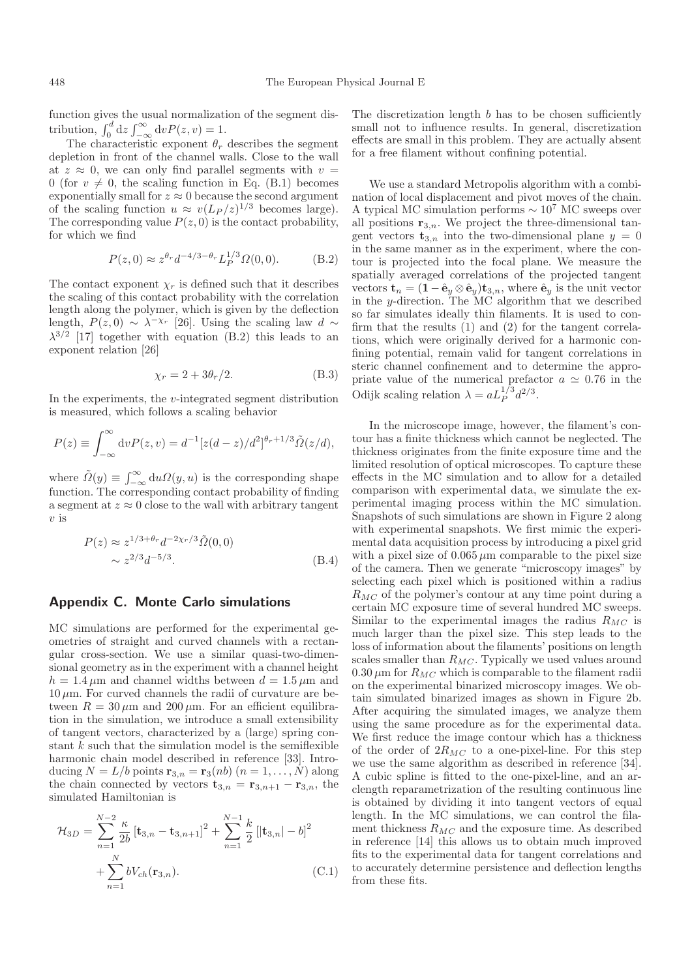function gives the usual normalization of the segment distribution,  $\int_0^d dz \int_{-\infty}^{\infty} dv P(z, v) = 1.$ 

The characteristic exponent  $\theta_r$  describes the segment depletion in front of the channel walls. Close to the wall at  $z \approx 0$ , we can only find parallel segments with  $v =$ 0 (for  $v \neq 0$ , the scaling function in Eq. (B.1) becomes exponentially small for  $z \approx 0$  because the second argument of the scaling function  $u \approx v(L_P/z)^{1/3}$  becomes large). The corresponding value  $P(z, 0)$  is the contact probability, for which we find

$$
P(z,0) \approx z^{\theta_r} d^{-4/3-\theta_r} L_P^{1/3} \Omega(0,0).
$$
 (B.2)

The contact exponent  $\chi_r$  is defined such that it describes the scaling of this contact probability with the correlation length along the polymer, which is given by the deflection length,  $P(z, 0) \sim \lambda^{-\chi_r}$  [26]. Using the scaling law  $d \sim$  $\lambda^{3/2}$  [17] together with equation (B.2) this leads to an exponent relation [26]

$$
\chi_r = 2 + 3\theta_r/2. \tag{B.3}
$$

In the experiments, the v-integrated segment distribution is measured, which follows a scaling behavior

$$
P(z) \equiv \int_{-\infty}^{\infty} dv P(z, v) = d^{-1} [z(d-z)/d^2]^{\theta_r + 1/3} \tilde{\Omega}(z/d),
$$

where  $\tilde{\Omega}(y) \equiv \int_{-\infty}^{\infty} du \Omega(y, u)$  is the corresponding shape function. The corresponding contact probability of finding a segment at  $z \approx 0$  close to the wall with arbitrary tangent v is

$$
P(z) \approx z^{1/3 + \theta_r} d^{-2\chi_r/3} \tilde{\Omega}(0, 0)
$$
  
  $\sim z^{2/3} d^{-5/3}.$  (B.4)

### Appendix C. Monte Carlo simulations

MC simulations are performed for the experimental geometries of straight and curved channels with a rectangular cross-section. We use a similar quasi-two-dimensional geometry as in the experiment with a channel height  $h = 1.4 \,\mu\text{m}$  and channel widths between  $d = 1.5 \,\mu\text{m}$  and  $10 \mu$ m. For curved channels the radii of curvature are between  $R = 30 \,\mu \text{m}$  and  $200 \,\mu \text{m}$ . For an efficient equilibration in the simulation, we introduce a small extensibility of tangent vectors, characterized by a (large) spring constant  $k$  such that the simulation model is the semiflexible harmonic chain model described in reference [33]. Introducing  $N = L/b$  points  $\mathbf{r}_{3,n} = \mathbf{r}_3(nb)$   $(n = 1, \ldots, N)$  along the chain connected by vectors  $\mathbf{t}_{3,n} = \mathbf{r}_{3,n+1} - \mathbf{r}_{3,n}$ , the simulated Hamiltonian is

$$
\mathcal{H}_{3D} = \sum_{n=1}^{N-2} \frac{\kappa}{2b} \left[ \mathbf{t}_{3,n} - \mathbf{t}_{3,n+1} \right]^2 + \sum_{n=1}^{N-1} \frac{k}{2} \left[ |\mathbf{t}_{3,n}| - b \right]^2
$$

$$
+ \sum_{n=1}^{N} bV_{ch}(\mathbf{r}_{3,n}). \tag{C.1}
$$

The discretization length b has to be chosen sufficiently small not to influence results. In general, discretization effects are small in this problem. They are actually absent for a free filament without confining potential.

We use a standard Metropolis algorithm with a combination of local displacement and pivot moves of the chain. A typical MC simulation performs  $\sim 10^7$  MC sweeps over all positions  $\mathbf{r}_{3,n}$ . We project the three-dimensional tangent vectors  $\mathbf{t}_{3,n}$  into the two-dimensional plane  $y = 0$ in the same manner as in the experiment, where the contour is projected into the focal plane. We measure the spatially averaged correlations of the projected tangent vectors  $\mathbf{t}_n = (1 - \hat{\mathbf{e}}_y \otimes \hat{\mathbf{e}}_y) \mathbf{t}_{3,n}$ , where  $\hat{\mathbf{e}}_y$  is the unit vector in the y-direction. The  $MC$  algorithm that we described so far simulates ideally thin filaments. It is used to confirm that the results (1) and (2) for the tangent correlations, which were originally derived for a harmonic confining potential, remain valid for tangent correlations in steric channel confinement and to determine the appropriate value of the numerical prefactor  $a \approx 0.76$  in the Odijk scaling relation  $\lambda = aL_P^{1/3}d^{2/3}$ .

In the microscope image, however, the filament's contour has a finite thickness which cannot be neglected. The thickness originates from the finite exposure time and the limited resolution of optical microscopes. To capture these effects in the MC simulation and to allow for a detailed comparison with experimental data, we simulate the experimental imaging process within the MC simulation. Snapshots of such simulations are shown in Figure 2 along with experimental snapshots. We first mimic the experimental data acquisition process by introducing a pixel grid with a pixel size of  $0.065 \mu m$  comparable to the pixel size of the camera. Then we generate "microscopy images" by selecting each pixel which is positioned within a radius  $R_{MC}$  of the polymer's contour at any time point during a certain MC exposure time of several hundred MC sweeps. Similar to the experimental images the radius  $R_{MC}$  is much larger than the pixel size. This step leads to the loss of information about the filaments' positions on length scales smaller than  $R_{MC}$ . Typically we used values around  $0.30 \mu$ m for  $R_{MC}$  which is comparable to the filament radii on the experimental binarized microscopy images. We obtain simulated binarized images as shown in Figure 2b. After acquiring the simulated images, we analyze them using the same procedure as for the experimental data. We first reduce the image contour which has a thickness of the order of  $2R_{MC}$  to a one-pixel-line. For this step we use the same algorithm as described in reference [34]. A cubic spline is fitted to the one-pixel-line, and an arclength reparametrization of the resulting continuous line is obtained by dividing it into tangent vectors of equal length. In the MC simulations, we can control the filament thickness  $R_{MC}$  and the exposure time. As described in reference [14] this allows us to obtain much improved fits to the experimental data for tangent correlations and to accurately determine persistence and deflection lengths from these fits.